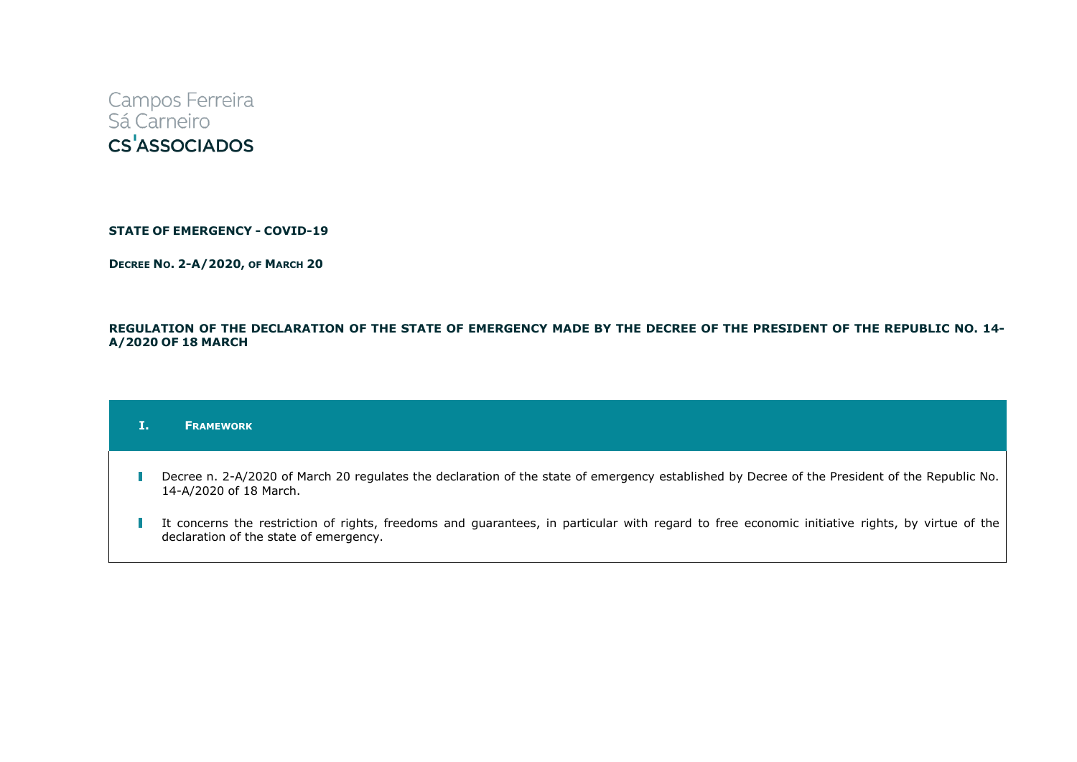

**STATE OF EMERGENCY - COVID-19**

**DECREE NO. 2-A/2020, OF MARCH 20**

# REGULATION OF THE DECLARATION OF THE STATE OF EMERGENCY MADE BY THE DECREE OF THE PRESIDENT OF THE REPUBLIC NO. 14-**A/2020 OF 18 MARCH**

### **I. FRAMEWORK**

- Decree n. 2-A/2020 of March 20 regulates the declaration of the state of emergency established by Decree of the President of the Republic No. 14-A/2020 of 18 March.
- I It concerns the restriction of rights, freedoms and guarantees, in particular with regard to free economic initiative rights, by virtue of the declaration of the state of emergency.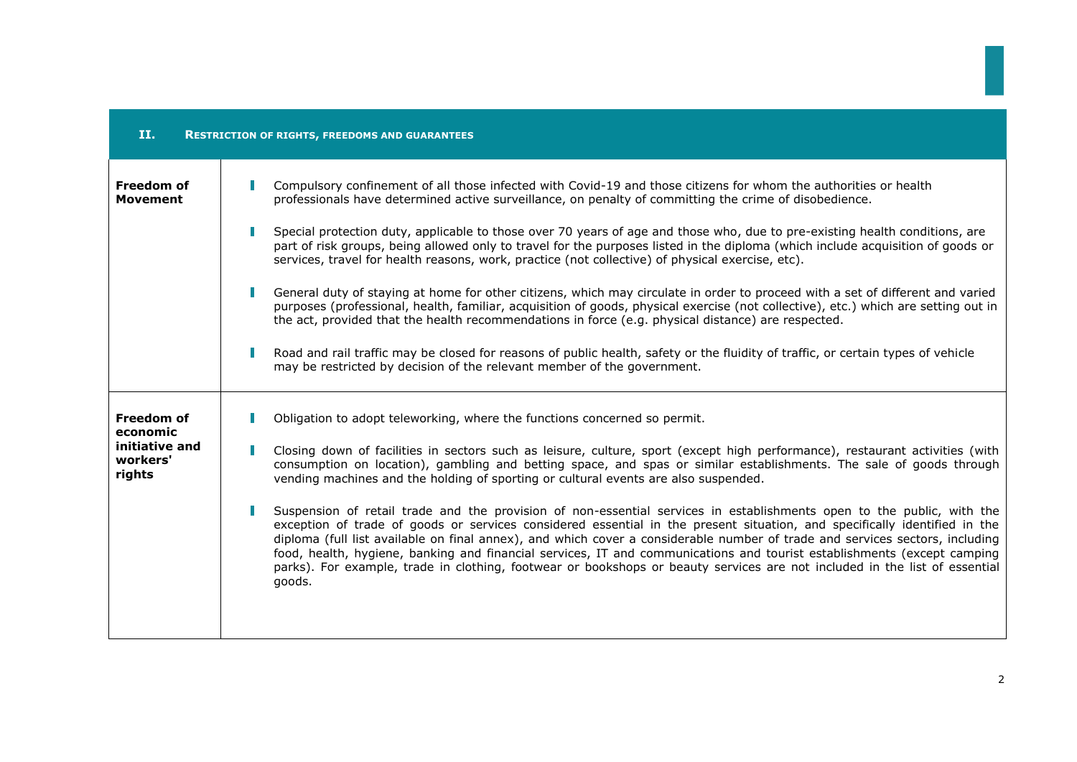| H.<br><b>RESTRICTION OF RIGHTS, FREEDOMS AND GUARANTEES</b>           |                                                                                                                                                                                                                                                                                                                                                                                                                                                                                                                                                                                                                                                                                                                                                                                                                                                                                                                                                                                                                                                                                                                                                                                               |  |
|-----------------------------------------------------------------------|-----------------------------------------------------------------------------------------------------------------------------------------------------------------------------------------------------------------------------------------------------------------------------------------------------------------------------------------------------------------------------------------------------------------------------------------------------------------------------------------------------------------------------------------------------------------------------------------------------------------------------------------------------------------------------------------------------------------------------------------------------------------------------------------------------------------------------------------------------------------------------------------------------------------------------------------------------------------------------------------------------------------------------------------------------------------------------------------------------------------------------------------------------------------------------------------------|--|
| <b>Freedom of</b><br><b>Movement</b>                                  | Compulsory confinement of all those infected with Covid-19 and those citizens for whom the authorities or health<br>professionals have determined active surveillance, on penalty of committing the crime of disobedience.<br>Special protection duty, applicable to those over 70 years of age and those who, due to pre-existing health conditions, are<br>part of risk groups, being allowed only to travel for the purposes listed in the diploma (which include acquisition of goods or<br>services, travel for health reasons, work, practice (not collective) of physical exercise, etc).<br>General duty of staying at home for other citizens, which may circulate in order to proceed with a set of different and varied<br>purposes (professional, health, familiar, acquisition of goods, physical exercise (not collective), etc.) which are setting out in<br>the act, provided that the health recommendations in force (e.g. physical distance) are respected.<br>Road and rail traffic may be closed for reasons of public health, safety or the fluidity of traffic, or certain types of vehicle<br>may be restricted by decision of the relevant member of the government. |  |
| <b>Freedom of</b><br>economic<br>initiative and<br>workers'<br>rights | Obligation to adopt teleworking, where the functions concerned so permit.<br>Closing down of facilities in sectors such as leisure, culture, sport (except high performance), restaurant activities (with<br>consumption on location), gambling and betting space, and spas or similar establishments. The sale of goods through<br>vending machines and the holding of sporting or cultural events are also suspended.<br>Suspension of retail trade and the provision of non-essential services in establishments open to the public, with the<br>exception of trade of goods or services considered essential in the present situation, and specifically identified in the<br>diploma (full list available on final annex), and which cover a considerable number of trade and services sectors, including<br>food, health, hygiene, banking and financial services, IT and communications and tourist establishments (except camping<br>parks). For example, trade in clothing, footwear or bookshops or beauty services are not included in the list of essential<br>goods.                                                                                                              |  |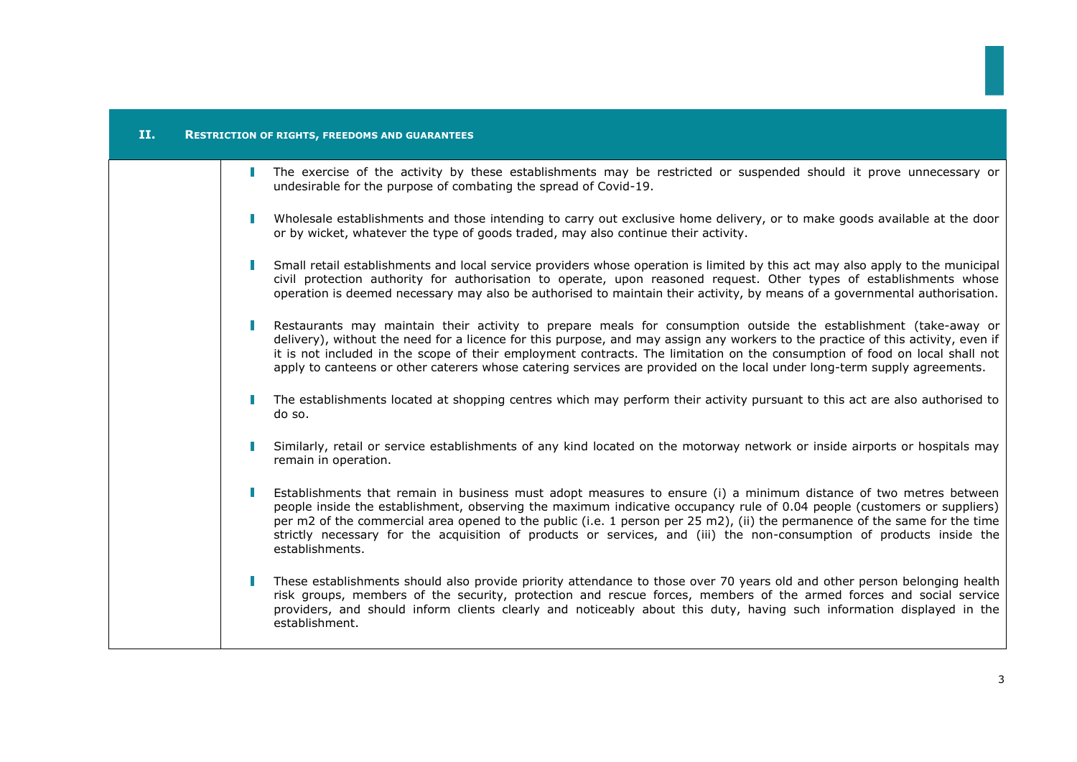| II. | <b>RESTRICTION OF RIGHTS, FREEDOMS AND GUARANTEES</b>                                                                                                                                                                                                                                                                                                                                                                                                                                                                  |
|-----|------------------------------------------------------------------------------------------------------------------------------------------------------------------------------------------------------------------------------------------------------------------------------------------------------------------------------------------------------------------------------------------------------------------------------------------------------------------------------------------------------------------------|
|     | The exercise of the activity by these establishments may be restricted or suspended should it prove unnecessary or<br>undesirable for the purpose of combating the spread of Covid-19.                                                                                                                                                                                                                                                                                                                                 |
|     | Wholesale establishments and those intending to carry out exclusive home delivery, or to make goods available at the door<br>or by wicket, whatever the type of goods traded, may also continue their activity.                                                                                                                                                                                                                                                                                                        |
|     | Small retail establishments and local service providers whose operation is limited by this act may also apply to the municipal<br>civil protection authority for authorisation to operate, upon reasoned request. Other types of establishments whose<br>operation is deemed necessary may also be authorised to maintain their activity, by means of a governmental authorisation.                                                                                                                                    |
|     | Restaurants may maintain their activity to prepare meals for consumption outside the establishment (take-away or<br>delivery), without the need for a licence for this purpose, and may assign any workers to the practice of this activity, even if<br>it is not included in the scope of their employment contracts. The limitation on the consumption of food on local shall not<br>apply to canteens or other caterers whose catering services are provided on the local under long-term supply agreements.        |
|     | The establishments located at shopping centres which may perform their activity pursuant to this act are also authorised to<br>do so.                                                                                                                                                                                                                                                                                                                                                                                  |
|     | Similarly, retail or service establishments of any kind located on the motorway network or inside airports or hospitals may<br>remain in operation.                                                                                                                                                                                                                                                                                                                                                                    |
|     | Establishments that remain in business must adopt measures to ensure (i) a minimum distance of two metres between<br>people inside the establishment, observing the maximum indicative occupancy rule of 0.04 people (customers or suppliers)<br>per m2 of the commercial area opened to the public (i.e. 1 person per 25 m2), (ii) the permanence of the same for the time<br>strictly necessary for the acquisition of products or services, and (iii) the non-consumption of products inside the<br>establishments. |
|     | These establishments should also provide priority attendance to those over 70 years old and other person belonging health<br>risk groups, members of the security, protection and rescue forces, members of the armed forces and social service<br>providers, and should inform clients clearly and noticeably about this duty, having such information displayed in the<br>establishment.                                                                                                                             |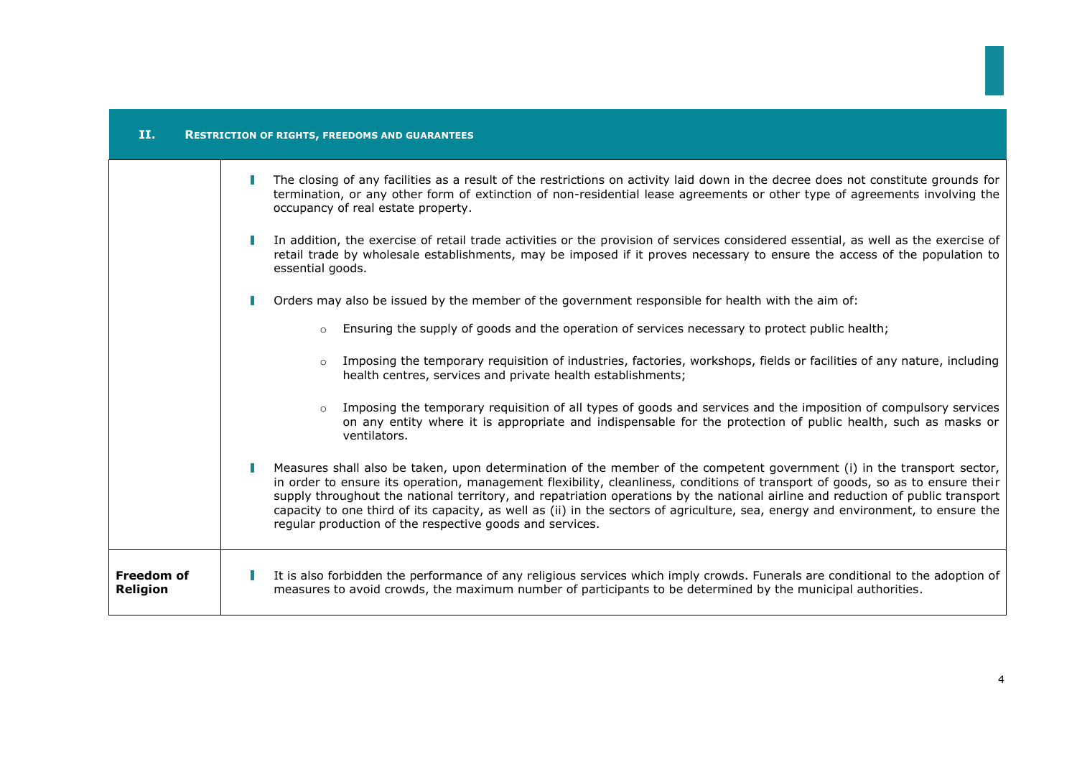| п.                                   | <b>RESTRICTION OF RIGHTS, FREEDOMS AND GUARANTEES</b>                                                                                                                                                                                                                                                                                                                                                                                                                                                                                                                                        |
|--------------------------------------|----------------------------------------------------------------------------------------------------------------------------------------------------------------------------------------------------------------------------------------------------------------------------------------------------------------------------------------------------------------------------------------------------------------------------------------------------------------------------------------------------------------------------------------------------------------------------------------------|
|                                      | The closing of any facilities as a result of the restrictions on activity laid down in the decree does not constitute grounds for<br>termination, or any other form of extinction of non-residential lease agreements or other type of agreements involving the<br>occupancy of real estate property.                                                                                                                                                                                                                                                                                        |
|                                      | In addition, the exercise of retail trade activities or the provision of services considered essential, as well as the exercise of<br>retail trade by wholesale establishments, may be imposed if it proves necessary to ensure the access of the population to<br>essential goods.                                                                                                                                                                                                                                                                                                          |
|                                      | Orders may also be issued by the member of the government responsible for health with the aim of:                                                                                                                                                                                                                                                                                                                                                                                                                                                                                            |
|                                      | Ensuring the supply of goods and the operation of services necessary to protect public health;<br>$\circ$                                                                                                                                                                                                                                                                                                                                                                                                                                                                                    |
|                                      | Imposing the temporary requisition of industries, factories, workshops, fields or facilities of any nature, including<br>$\circ$<br>health centres, services and private health establishments;                                                                                                                                                                                                                                                                                                                                                                                              |
|                                      | Imposing the temporary requisition of all types of goods and services and the imposition of compulsory services<br>on any entity where it is appropriate and indispensable for the protection of public health, such as masks or<br>ventilators.                                                                                                                                                                                                                                                                                                                                             |
|                                      | Measures shall also be taken, upon determination of the member of the competent government (i) in the transport sector,<br>in order to ensure its operation, management flexibility, cleanliness, conditions of transport of goods, so as to ensure their<br>supply throughout the national territory, and repatriation operations by the national airline and reduction of public transport<br>capacity to one third of its capacity, as well as (ii) in the sectors of agriculture, sea, energy and environment, to ensure the<br>regular production of the respective goods and services. |
| <b>Freedom of</b><br><b>Religion</b> | It is also forbidden the performance of any religious services which imply crowds. Funerals are conditional to the adoption of<br>measures to avoid crowds, the maximum number of participants to be determined by the municipal authorities.                                                                                                                                                                                                                                                                                                                                                |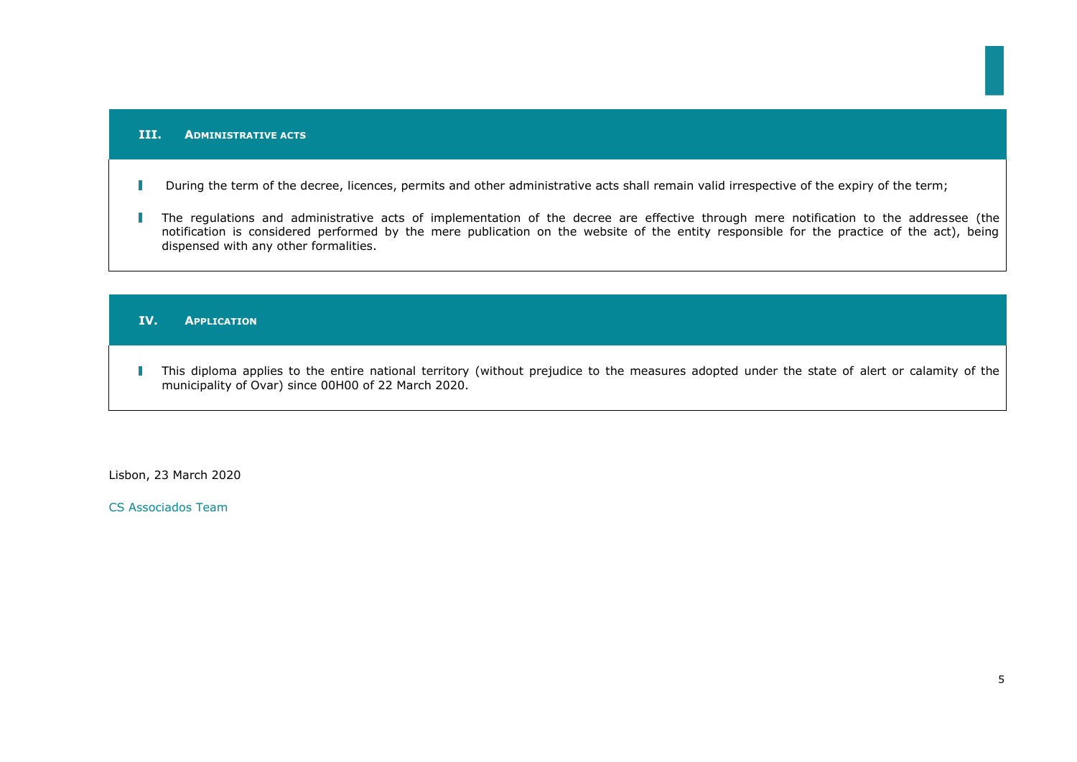### **III. ADMINISTRATIVE ACTS**

#### During the term of the decree, licences, permits and other administrative acts shall remain valid irrespective of the expiry of the term;  $\overline{\phantom{a}}$

 $\mathbb{R}^n$ The regulations and administrative acts of implementation of the decree are effective through mere notification to the addressee (the notification is considered performed by the mere publication on the website of the entity responsible for the practice of the act), being dispensed with any other formalities.

# **IV. APPLICATION**

This diploma applies to the entire national territory (without prejudice to the measures adopted under the state of alert or calamity of the  $\mathbb{R}^n$ municipality of Ovar) since 00H00 of 22 March 2020.

Lisbon, 23 March 2020

CS Associados Team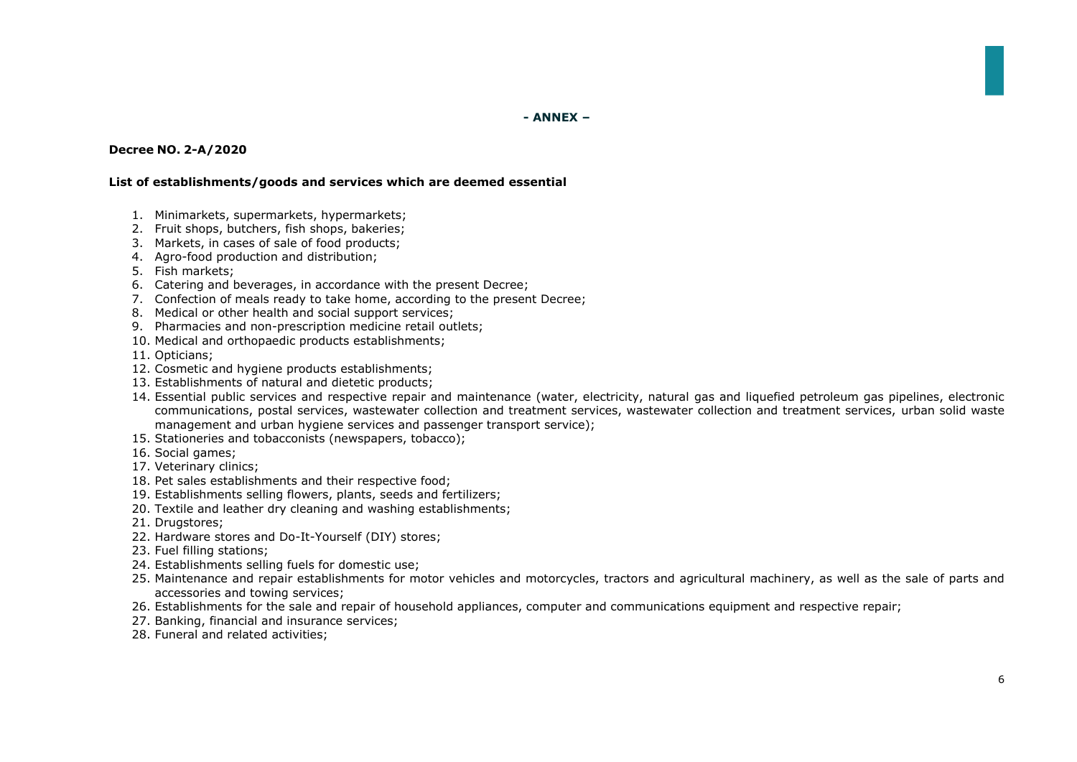**- ANNEX –**

# **Decree NO. 2-A/2020**

## **List of establishments/goods and services which are deemed essential**

- 1. Minimarkets, supermarkets, hypermarkets;
- 2. Fruit shops, butchers, fish shops, bakeries;
- 3. Markets, in cases of sale of food products;
- 4. Agro-food production and distribution;
- 5. Fish markets;
- 6. Catering and beverages, in accordance with the present Decree;
- 7. Confection of meals ready to take home, according to the present Decree;
- 8. Medical or other health and social support services;
- 9. Pharmacies and non-prescription medicine retail outlets;
- 10. Medical and orthopaedic products establishments;
- 11. Opticians;
- 12. Cosmetic and hygiene products establishments;
- 13. Establishments of natural and dietetic products;
- 14. Essential public services and respective repair and maintenance (water, electricity, natural gas and liquefied petroleum gas pipelines, electronic communications, postal services, wastewater collection and treatment services, wastewater collection and treatment services, urban solid waste management and urban hygiene services and passenger transport service);
- 15. Stationeries and tobacconists (newspapers, tobacco);
- 16. Social games;
- 17. Veterinary clinics;
- 18. Pet sales establishments and their respective food;
- 19. Establishments selling flowers, plants, seeds and fertilizers;
- 20. Textile and leather dry cleaning and washing establishments;
- 21. Drugstores;
- 22. Hardware stores and Do-It-Yourself (DIY) stores;
- 23. Fuel filling stations;
- 24. Establishments selling fuels for domestic use;
- 25. Maintenance and repair establishments for motor vehicles and motorcycles, tractors and agricultural machinery, as well as the sale of parts and accessories and towing services;
- 26. Establishments for the sale and repair of household appliances, computer and communications equipment and respective repair;
- 27. Banking, financial and insurance services;
- 28. Funeral and related activities;